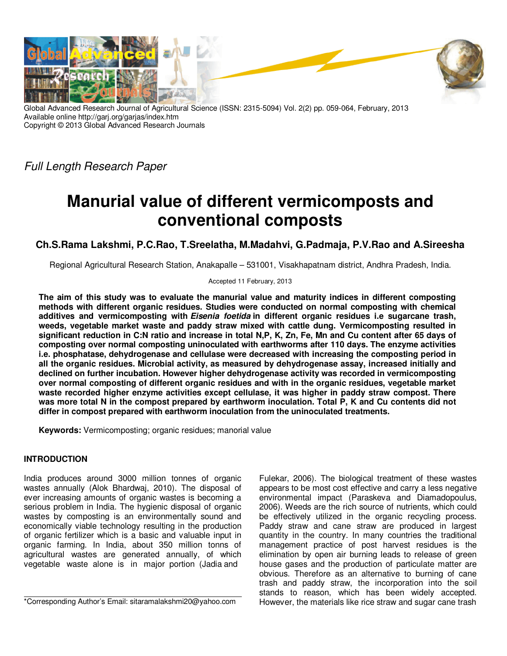

Global Advanced Research Journal of Agricultural Science (ISSN: 2315-5094) Vol. 2(2) pp. 059-064, February, 2013 Available online http://garj.org/garjas/index.htm Copyright © 2013 Global Advanced Research Journals

Full Length Research Paper

# **Manurial value of different vermicomposts and conventional composts**

## **Ch.S.Rama Lakshmi, P.C.Rao, T.Sreelatha, M.Madahvi, G.Padmaja, P.V.Rao and A.Sireesha**

Regional Agricultural Research Station, Anakapalle – 531001, Visakhapatnam district, Andhra Pradesh, India.

Accepted 11 February, 2013

**The aim of this study was to evaluate the manurial value and maturity indices in different composting methods with different organic residues. Studies were conducted on normal composting with chemical additives and vermicomposting with Eisenia foetida in different organic residues i.e sugarcane trash, weeds, vegetable market waste and paddy straw mixed with cattle dung. Vermicomposting resulted in significant reduction in C:N ratio and increase in total N,P, K, Zn, Fe, Mn and Cu content after 65 days of composting over normal composting uninoculated with earthworms after 110 days. The enzyme activities i.e. phosphatase, dehydrogenase and cellulase were decreased with increasing the composting period in all the organic residues. Microbial activity, as measured by dehydrogenase assay, increased initially and declined on further incubation. However higher dehydrogenase activity was recorded in vermicomposting over normal composting of different organic residues and with in the organic residues, vegetable market waste recorded higher enzyme activities except cellulase, it was higher in paddy straw compost. There was more total N in the compost prepared by earthworm inoculation. Total P, K and Cu contents did not differ in compost prepared with earthworm inoculation from the uninoculated treatments.** 

**Keywords:** Vermicomposting; organic residues; manorial value

## **INTRODUCTION**

India produces around 3000 million tonnes of organic wastes annually (Alok Bhardwaj, 2010). The disposal of ever increasing amounts of organic wastes is becoming a serious problem in India. The hygienic disposal of organic wastes by composting is an environmentally sound and economically viable technology resulting in the production of organic fertilizer which is a basic and valuable input in organic farming. In India, about 350 million tonns of agricultural wastes are generated annually, of which vegetable waste alone is in major portion (Jadia and

\*Corresponding Author's Email: sitaramalakshmi20@yahoo.com

Fulekar, 2006). The biological treatment of these wastes appears to be most cost effective and carry a less negative environmental impact (Paraskeva and Diamadopoulus, 2006). Weeds are the rich source of nutrients, which could be effectively utilized in the organic recycling process. Paddy straw and cane straw are produced in largest quantity in the country. In many countries the traditional management practice of post harvest residues is the elimination by open air burning leads to release of green house gases and the production of particulate matter are obvious. Therefore as an alternative to burning of cane trash and paddy straw, the incorporation into the soil stands to reason, which has been widely accepted. However, the materials like rice straw and sugar cane trash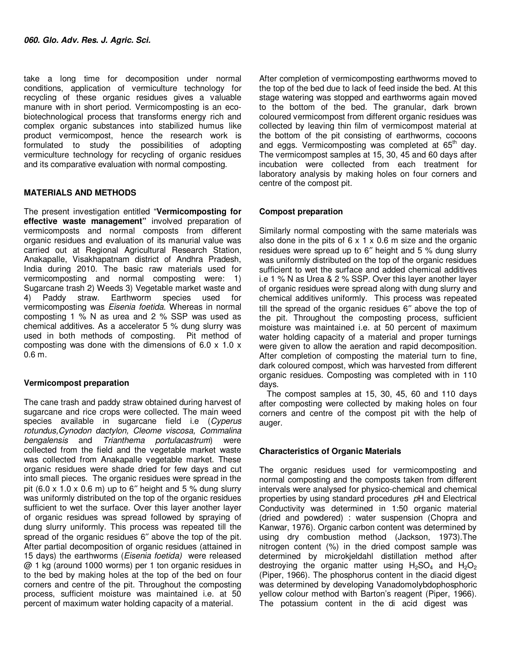take a long time for decomposition under normal conditions, application of vermiculture technology for recycling of these organic residues gives a valuable manure with in short period. Vermicomposting is an ecobiotechnological process that transforms energy rich and complex organic substances into stabilized humus like product vermicompost, hence the research work is formulated to study the possibilities of adopting vermiculture technology for recycling of organic residues and its comparative evaluation with normal composting.

## **MATERIALS AND METHODS**

The present investigation entitled "**Vermicomposting for effective waste management"** involved preparation of vermicomposts and normal composts from different organic residues and evaluation of its manurial value was carried out at Regional Agricultural Research Station, Anakapalle, Visakhapatnam district of Andhra Pradesh, India during 2010. The basic raw materials used for vermicomposting and normal composting were: 1) Sugarcane trash 2) Weeds 3) Vegetable market waste and 4) Paddy straw. Earthworm species used for vermicomposting was Eisenia foetida. Whereas in normal composting 1 % N as urea and 2 % SSP was used as chemical additives. As a accelerator 5 % dung slurry was used in both methods of composting. Pit method of composting was done with the dimensions of 6.0 x 1.0 x 0.6 m.

## **Vermicompost preparation**

The cane trash and paddy straw obtained during harvest of sugarcane and rice crops were collected. The main weed species available in sugarcane field i.e (Cyperus rotundus,Cynodon dactylon, Cleome viscosa, Commalina bengalensis and Trianthema portulacastrum) were collected from the field and the vegetable market waste was collected from Anakapalle vegetable market. These organic residues were shade dried for few days and cut into small pieces. The organic residues were spread in the pit  $(6.0 \times 1.0 \times 0.6 \text{ m})$  up to 6" height and 5 % dung slurry was uniformly distributed on the top of the organic residues sufficient to wet the surface. Over this layer another layer of organic residues was spread followed by spraying of dung slurry uniformly. This process was repeated till the spread of the organic residues 6″ above the top of the pit. After partial decomposition of organic residues (attained in 15 days) the earthworms (Eisenia foetida) were released @ 1 kg (around 1000 worms) per 1 ton organic residues in to the bed by making holes at the top of the bed on four corners and centre of the pit. Throughout the composting process, sufficient moisture was maintained i.e. at 50 percent of maximum water holding capacity of a material.

After completion of vermicomposting earthworms moved to the top of the bed due to lack of feed inside the bed. At this stage watering was stopped and earthworms again moved to the bottom of the bed. The granular, dark brown coloured vermicompost from different organic residues was collected by leaving thin film of vermicompost material at the bottom of the pit consisting of earthworms, cocoons and eggs. Vermicomposting was completed at  $65<sup>th</sup>$  day. The vermicompost samples at 15, 30, 45 and 60 days after incubation were collected from each treatment for laboratory analysis by making holes on four corners and centre of the compost pit.

## **Compost preparation**

Similarly normal composting with the same materials was also done in the pits of  $6 \times 1 \times 0.6$  m size and the organic residues were spread up to 6″ height and 5 % dung slurry was uniformly distributed on the top of the organic residues sufficient to wet the surface and added chemical additives i.e 1 % N as Urea & 2 % SSP. Over this layer another layer of organic residues were spread along with dung slurry and chemical additives uniformly. This process was repeated till the spread of the organic residues 6″ above the top of the pit. Throughout the composting process, sufficient moisture was maintained i.e. at 50 percent of maximum water holding capacity of a material and proper turnings were given to allow the aeration and rapid decomposition. After completion of composting the material turn to fine, dark coloured compost, which was harvested from different organic residues. Composting was completed with in 110 days.

The compost samples at 15, 30, 45, 60 and 110 days after composting were collected by making holes on four corners and centre of the compost pit with the help of auger.

## **Characteristics of Organic Materials**

The organic residues used for vermicomposting and normal composting and the composts taken from different intervals were analysed for physico-chemical and chemical properties by using standard procedures pH and Electrical Conductivity was determined in 1:50 organic material (dried and powdered) : water suspension (Chopra and Kanwar, 1976). Organic carbon content was determined by using dry combustion method (Jackson, 1973).The nitrogen content (%) in the dried compost sample was determined by microkjeldahl distillation method after destroying the organic matter using  $H_2SO_4$  and  $H_2O_2$ (Piper, 1966). The phosphorus content in the diacid digest was determined by developing Vanadomolybdophosphoric yellow colour method with Barton's reagent (Piper, 1966). The potassium content in the di acid digest was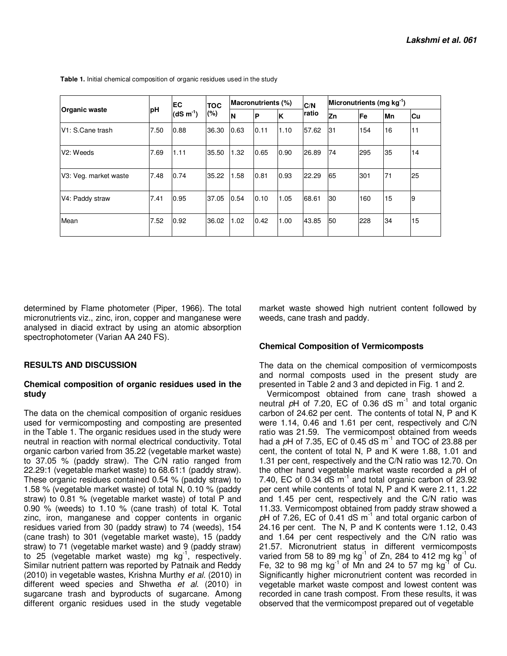| <b>Organic waste</b>   | рH   | EC<br>$(dS m-1)$ | <b>TOC</b><br>(%) |          | <b>Macronutrients (%)</b> |      | C/N<br>ratio | Micronutrients (mg kg <sup>-1</sup> ) |     |    |    |
|------------------------|------|------------------|-------------------|----------|---------------------------|------|--------------|---------------------------------------|-----|----|----|
|                        |      |                  |                   | <b>N</b> | ÍР                        | ΙK   |              | Zn                                    | Fe  | Mn | Cu |
| V1: S.Cane trash       | 7.50 | 0.88             | 36.30             | 0.63     | 0.11                      | 1.10 | 57.62        | 131                                   | 154 | 16 | 11 |
| V <sub>2</sub> : Weeds | 7.69 | 1.11             | 35.50             | 1.32     | 0.65                      | 0.90 | 26.89        | 74                                    | 295 | 35 | 14 |
| V3: Veg. market waste  | 7.48 | 0.74             | 35.22             | 1.58     | 0.81                      | 0.93 | 22.29        | 65                                    | 301 | 71 | 25 |
| V4: Paddy straw        | 7.41 | 0.95             | 37.05             | 0.54     | 0.10                      | 1.05 | 68.61        | 130                                   | 160 | 15 | 9  |
| Mean                   | 7.52 | 0.92             | 36.02             | 1.02     | 0.42                      | 1.00 | 43.85        | <b>50</b>                             | 228 | 34 | 15 |

 **Table 1.** Initial chemical composition of organic residues used in the study

determined by Flame photometer (Piper, 1966). The total micronutrients viz., zinc, iron, copper and manganese were analysed in diacid extract by using an atomic absorption spectrophotometer (Varian AA 240 FS).

market waste showed high nutrient content followed by weeds, cane trash and paddy.

#### **Chemical Composition of Vermicomposts**

## **RESULTS AND DISCUSSION**

#### **Chemical composition of organic residues used in the study**

The data on the chemical composition of organic residues used for vermicomposting and composting are presented in the Table 1. The organic residues used in the study were neutral in reaction with normal electrical conductivity. Total organic carbon varied from 35.22 (vegetable market waste) to 37.05 % (paddy straw). The C/N ratio ranged from 22.29:1 (vegetable market waste) to 68.61:1 (paddy straw). These organic residues contained 0.54 % (paddy straw) to 1.58 % (vegetable market waste) of total N, 0.10 % (paddy straw) to 0.81 % (vegetable market waste) of total P and 0.90 % (weeds) to 1.10 % (cane trash) of total K. Total zinc, iron, manganese and copper contents in organic residues varied from 30 (paddy straw) to 74 (weeds), 154 (cane trash) to 301 (vegetable market waste), 15 (paddy straw) to 71 (vegetable market waste) and 9 (paddy straw) to 25 (vegetable market waste) mg  $kg^{-1}$ , respectively. Similar nutrient pattern was reported by Patnaik and Reddy (2010) in vegetable wastes, Krishna Murthy et al. (2010) in different weed species and Shwetha et al. (2010) in sugarcane trash and byproducts of sugarcane. Among different organic residues used in the study vegetable The data on the chemical composition of vermicomposts and normal composts used in the present study are presented in Table 2 and 3 and depicted in Fig. 1 and 2.

Vermicompost obtained from cane trash showed a neutral  $pH$  of 7.20, EC of 0.36 dS  $m^{-1}$  and total organic carbon of 24.62 per cent. The contents of total N, P and K were 1.14, 0.46 and 1.61 per cent, respectively and C/N ratio was 21.59. The vermicompost obtained from weeds had a  $pH$  of 7.35, EC of 0.45 dS  $m^{-1}$  and TOC of 23.88 per cent, the content of total N, P and K were 1.88, 1.01 and 1.31 per cent, respectively and the C/N ratio was 12.70. On the other hand vegetable market waste recorded a pH of 7.40, EC of 0.34  $dS$  m<sup>-1</sup> and total organic carbon of 23.92 per cent while contents of total N, P and K were 2.11, 1.22 and 1.45 per cent, respectively and the C/N ratio was 11.33. Vermicompost obtained from paddy straw showed a  $pH$  of 7.26, EC of 0.41 dS  $m^{-1}$  and total organic carbon of 24.16 per cent. The N, P and K contents were 1.12, 0.43 and 1.64 per cent respectively and the C/N ratio was 21.57. Micronutrient status in different vermicomposts varied from 58 to 89 mg  $kg^{-1}$  of Zn, 284 to 412 mg  $kg^{-1}$  of Fe, 32 to 98 mg  $kg^{-1}$  of Mn and 24 to 57 mg  $kg^{-1}$  of Cu. Significantly higher micronutrient content was recorded in vegetable market waste compost and lowest content was recorded in cane trash compost. From these results, it was observed that the vermicompost prepared out of vegetable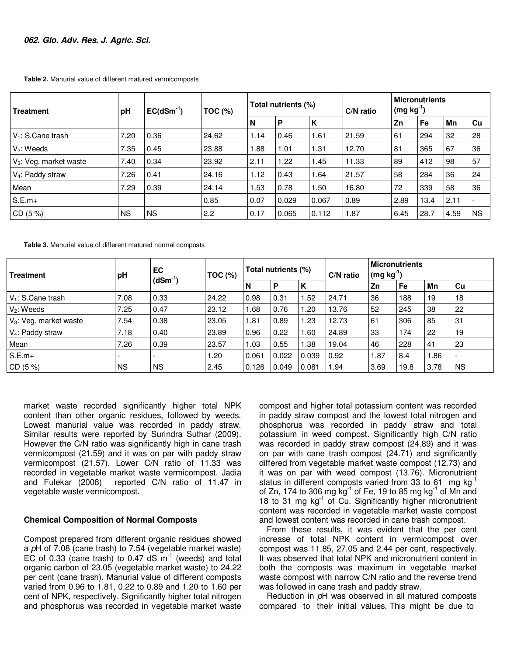**Table 2.** Manurial value of different matured vermicomposts

| <b>Treatment</b>             | pH        | $EC(dSm^{-1})$ | $TOC$ (%) |      | Total nutrients (%) |       | C/N ratio | <b>Micronutrients</b><br>$(mg kg-1)$ |      |      |           |
|------------------------------|-----------|----------------|-----------|------|---------------------|-------|-----------|--------------------------------------|------|------|-----------|
|                              |           |                |           | N    | P                   | K     |           | Zn                                   | Fe   | Mn   | Cu        |
| $V_1$ : S.Cane trash         | 7.20      | 0.36           | 24.62     | 1.14 | 0.46                | 1.61  | 21.59     | 61                                   | 294  | 32   | 28        |
| $V_2$ : Weeds                | 7.35      | 0.45           | 23.88     | 1.88 | 1.01                | 1.31  | 12.70     | 81                                   | 365  | 67   | 36        |
| $V_3$ : Veg. market waste    | 7.40      | 0.34           | 23.92     | 2.11 | 1.22                | 1.45  | 11.33     | 89                                   | 412  | 98   | 57        |
| V <sub>4</sub> : Paddy straw | 7.26      | 0.41           | 24.16     | 1.12 | 0.43                | 1.64  | 21.57     | 58                                   | 284  | 36   | 24        |
| Mean                         | 7.29      | 0.39           | 24.14     | 1.53 | 0.78                | 1.50  | 16.80     | 72                                   | 339  | 58   | 36        |
| $S.E.m+$                     |           |                | 0.85      | 0.07 | 0.029               | 0.067 | 0.89      | 2.89                                 | 13.4 | 2.11 |           |
| CD(5%)                       | <b>NS</b> | <b>NS</b>      | 2.2       | 0.17 | 0.065               | 0.112 | 1.87      | 6.45                                 | 28.7 | 4.59 | <b>NS</b> |

**Table 3.** Manurial value of different matured normal composts

| <b>Treatment</b>          | рH        | EC<br>(dSm <sup>-1</sup> ) | $TOC$ (%) | Total nutrients (%) |       |        | C/N ratio | Micronutrients<br>$(mg kg-1)$ |           |      |           |
|---------------------------|-----------|----------------------------|-----------|---------------------|-------|--------|-----------|-------------------------------|-----------|------|-----------|
|                           |           |                            |           | $\mathbf N$         | P     | ΙK     |           | <b>Zn</b>                     | <b>Fe</b> | Mn   | Cu        |
| $V_1$ : S.Cane trash      | 7.08      | 0.33                       | 24.22     | 0.98                | 0.31  | .52    | 24.71     | 36                            | 188       | 19   | 18        |
| $V_2$ : Weeds             | 7.25      | 0.47                       | 23.12     | .68                 | 0.76  | 1.20   | 13.76     | 52                            | 245       | 38   | 22        |
| $V_3$ : Veg. market waste | 7.54      | 0.38                       | 23.05     | 1.81                | 0.89  | 23. ا  | 12.73     | 61                            | 306       | 85   | 31        |
| $V_4$ : Paddy straw       | 7.18      | 0.40                       | 23.89     | 0.96                | 0.22  | . 60   | 24.89     | 33                            | 174       | 22   | 19        |
| Mean                      | 7.26      | 0.39                       | 23.57     | 1.03                | 0.55  | 1.38   | 19.04     | 46                            | 228       | 41   | 23        |
| $S.E.m+$                  |           |                            | .20       | 0.061               | 0.022 | 0.039  | 0.92      | 1.87                          | 8.4       | .86  |           |
| CD (5%)                   | <b>NS</b> | <b>NS</b>                  | 2.45      | 0.126               | 0.049 | 10.081 | . 94. ،   | 3.69                          | 19.8      | 3.78 | <b>NS</b> |

market waste recorded significantly higher total NPK content than other organic residues, followed by weeds. Lowest manurial value was recorded in paddy straw. Similar results were reported by Surindra Suthar (2009). However the C/N ratio was significantly high in cane trash vermicompost (21.59) and it was on par with paddy straw vermicompost (21.57). Lower C/N ratio of 11.33 was recorded in vegetable market waste vermicompost. Jadia and Fulekar (2008) reported C/N ratio of 11.47 in vegetable waste vermicompost.

#### **Chemical Composition of Normal Composts**

Compost prepared from different organic residues showed a pH of 7.08 (cane trash) to 7.54 (vegetable market waste) EC of 0.33 (cane trash) to 0.47 dS  $m^{-1}$  (weeds) and total organic carbon of 23.05 (vegetable market waste) to 24.22 per cent (cane trash). Manurial value of different composts varied from 0.96 to 1.81, 0.22 to 0.89 and 1.20 to 1.60 per cent of NPK, respectively. Significantly higher total nitrogen and phosphorus was recorded in vegetable market waste

compost and higher total potassium content was recorded in paddy straw compost and the lowest total nitrogen and phosphorus was recorded in paddy straw and total potassium in weed compost. Significantly high C/N ratio was recorded in paddy straw compost (24.89) and it was on par with cane trash compost (24.71) and significantly differed from vegetable market waste compost (12.73) and it was on par with weed compost (13.76). Micronutrient status in different composts varied from 33 to 61 mg  $kg^{-1}$ of Zn, 174 to 306 mg  $kg^{-1}$  of Fe, 19 to 85 mg  $kg^{-1}$  of Mn and 18 to 31 mg  $kg^{-1}$  of Cu. Significantly higher micronutrient content was recorded in vegetable market waste compost and lowest content was recorded in cane trash compost.

From these results, it was evident that the per cent increase of total NPK content in vermicompost over compost was 11.85, 27.05 and 2.44 per cent, respectively. It was observed that total NPK and micronutrient content in both the composts was maximum in vegetable market waste compost with narrow C/N ratio and the reverse trend was followed in cane trash and paddy straw.

Reduction in pH was observed in all matured composts compared to their initial values. This might be due to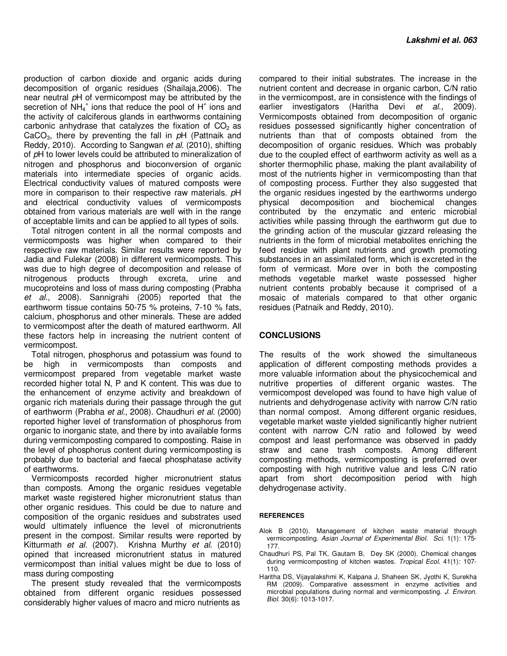production of carbon dioxide and organic acids during decomposition of organic residues (Shailaja,2006). The near neutral pH of vermicompost may be attributed by the secretion of  $NH_4^+$  ions that reduce the pool of  $H^+$  ions and the activity of calciferous glands in earthworms containing carbonic anhydrase that catalyzes the fixation of  $CO<sub>2</sub>$  as CaCO<sub>3</sub>, there by preventing the fall in  $pH$  (Pattnaik and Reddy, 2010). According to Sangwan et al. (2010), shifting of pH to lower levels could be attributed to mineralization of nitrogen and phosphorus and bioconversion of organic materials into intermediate species of organic acids. Electrical conductivity values of matured composts were more in comparison to their respective raw materials. pH and electrical conductivity values of vermicomposts obtained from various materials are well with in the range of acceptable limits and can be applied to all types of soils.

Total nitrogen content in all the normal composts and vermicomposts was higher when compared to their respective raw materials. Similar results were reported by Jadia and Fulekar (2008) in different vermicomposts. This was due to high degree of decomposition and release of nitrogenous products through excreta, urine and mucoproteins and loss of mass during composting (Prabha et al., 2008). Sannigrahi (2005) reported that the earthworm tissue contains 50-75 % proteins, 7-10 % fats, calcium, phosphorus and other minerals. These are added to vermicompost after the death of matured earthworm. All these factors help in increasing the nutrient content of vermicompost.

Total nitrogen, phosphorus and potassium was found to be high in vermicomposts than composts and vermicompost prepared from vegetable market waste recorded higher total N, P and K content. This was due to the enhancement of enzyme activity and breakdown of organic rich materials during their passage through the gut of earthworm (Prabha et al., 2008). Chaudhuri et al. (2000) reported higher level of transformation of phosphorus from organic to inorganic state, and there by into available forms during vermicomposting compared to composting. Raise in the level of phosphorus content during vermicomposting is probably due to bacterial and faecal phosphatase activity of earthworms.

Vermicomposts recorded higher micronutrient status than composts. Among the organic residues vegetable market waste registered higher micronutrient status than other organic residues. This could be due to nature and composition of the organic residues and substrates used would ultimately influence the level of micronutrients present in the compost. Similar results were reported by Kitturmath et al. (2007). Krishna Murthy et al. (2010) opined that increased micronutrient status in matured vermicompost than initial values might be due to loss of mass during composting

The present study revealed that the vermicomposts obtained from different organic residues possessed considerably higher values of macro and micro nutrients as

compared to their initial substrates. The increase in the nutrient content and decrease in organic carbon, C/N ratio in the vermicompost, are in consistence with the findings of earlier investigators (Haritha Devi et al., 2009). Vermicomposts obtained from decomposition of organic residues possessed significantly higher concentration of nutrients than that of composts obtained from the decomposition of organic residues. Which was probably due to the coupled effect of earthworm activity as well as a shorter thermophilic phase, making the plant availability of most of the nutrients higher in vermicomposting than that of composting process. Further they also suggested that the organic residues ingested by the earthworms undergo physical decomposition and biochemical changes contributed by the enzymatic and enteric microbial activities while passing through the earthworm gut due to the grinding action of the muscular gizzard releasing the nutrients in the form of microbial metabolites enriching the feed residue with plant nutrients and growth promoting substances in an assimilated form, which is excreted in the form of vermicast. More over in both the composting methods vegetable market waste possessed higher nutrient contents probably because it comprised of a mosaic of materials compared to that other organic residues (Patnaik and Reddy, 2010).

#### **CONCLUSIONS**

The results of the work showed the simultaneous application of different composting methods provides a more valuable information about the physicochemical and nutritive properties of different organic wastes. The vermicompost developed was found to have high value of nutrients and dehydrogenase activity with narrow C/N ratio than normal compost. Among different organic residues, vegetable market waste yielded significantly higher nutrient content with narrow C/N ratio and followed by weed compost and least performance was observed in paddy straw and cane trash composts. Among different composting methods, vermicomposting is preferred over composting with high nutritive value and less C/N ratio apart from short decomposition period with high dehydrogenase activity.

#### **REFERENCES**

- Alok B (2010). Management of kitchen waste material through vermicomposting. Asian Journal of Experimental Biol. Sci. 1(1): 175-177.
- Chaudhuri PS, Pal TK, Gautam B, Dey SK (2000). Chemical changes during vermicomposting of kitchen wastes. Tropical Ecol. 41(1): 107-110.
- Haritha DS, Vijayalakshmi K, Kalpana J, Shaheen SK, Jyothi K, Surekha RM (2009). Comparative assessment in enzyme activities and microbial populations during normal and vermicomposting. J. Environ. Biol. 30(6): 1013-1017.